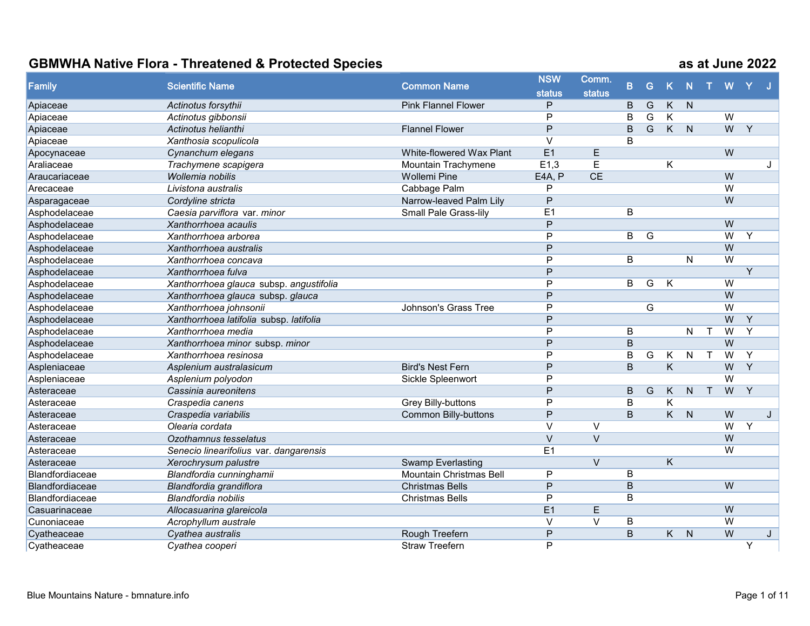| Family          | <b>Scientific Name</b>                  | <b>Common Name</b>          | <b>NSW</b>     | Comm.             |                         |                |                         |              |   |                |                |   |
|-----------------|-----------------------------------------|-----------------------------|----------------|-------------------|-------------------------|----------------|-------------------------|--------------|---|----------------|----------------|---|
|                 |                                         |                             | <b>status</b>  | <b>status</b>     | $\overline{B}$          | G              | K                       | N            |   | W              |                |   |
| Apiaceae        | Actinotus forsythii                     | <b>Pink Flannel Flower</b>  | P              |                   | B                       | G              | $\overline{K}$          | N            |   |                |                |   |
| Apiaceae        | Actinotus gibbonsii                     |                             | P              |                   | B                       | G              | K                       |              |   | $\overline{W}$ |                |   |
| Apiaceae        | Actinotus helianthi                     | <b>Flannel Flower</b>       | P              |                   | B                       | $\overline{G}$ |                         | $K$ $N$      |   | W              | $\overline{Y}$ |   |
| Apiaceae        | Xanthosia scopulicola                   |                             | $\vee$         |                   | B                       |                |                         |              |   |                |                |   |
| Apocynaceae     | Cynanchum elegans                       | White-flowered Wax Plant    | E1             | E                 |                         |                |                         |              |   | W              |                |   |
| Araliaceae      | Trachymene scapigera                    | Mountain Trachymene         | E1,3           | $\overline{E}$    |                         |                | Κ                       |              |   |                |                | J |
| Araucariaceae   | Wollemia nobilis                        | <b>Wollemi Pine</b>         | E4A, P         | CE                |                         |                |                         |              |   | W              |                |   |
| Arecaceae       | Livistona australis                     | Cabbage Palm                | P              |                   |                         |                |                         |              |   | $\overline{W}$ |                |   |
| Asparagaceae    | Cordyline stricta                       | Narrow-leaved Palm Lily     | P              |                   |                         |                |                         |              |   | W              |                |   |
| Asphodelaceae   | Caesia parviflora var. minor            | Small Pale Grass-lily       | E1             |                   | B                       |                |                         |              |   |                |                |   |
| Asphodelaceae   | Xanthorrhoea acaulis                    |                             | P              |                   |                         |                |                         |              |   | W              |                |   |
| Asphodelaceae   | Xanthorrhoea arborea                    |                             | P              |                   | $\overline{B}$          | G              |                         |              |   | $\overline{W}$ | Y              |   |
| Asphodelaceae   | Xanthorrhoea australis                  |                             | $\overline{P}$ |                   |                         |                |                         |              |   | W              |                |   |
| Asphodelaceae   | Xanthorrhoea concava                    |                             | P              |                   | B                       |                |                         | $\mathsf{N}$ |   | W              |                |   |
| Asphodelaceae   | Xanthorrhoea fulva                      |                             | $\overline{P}$ |                   |                         |                |                         |              |   |                | Y              |   |
| Asphodelaceae   | Xanthorrhoea glauca subsp. angustifolia |                             | $\overline{P}$ |                   | B                       | G              | K                       |              |   | $\overline{W}$ |                |   |
| Asphodelaceae   | Xanthorrhoea glauca subsp. glauca       |                             | P              |                   |                         |                |                         |              |   | $\overline{W}$ |                |   |
| Asphodelaceae   | Xanthorrhoea johnsonii                  | Johnson's Grass Tree        | $\overline{P}$ |                   |                         | G              |                         |              |   | $\overline{W}$ |                |   |
| Asphodelaceae   | Xanthorrhoea latifolia subsp. latifolia |                             | P              |                   |                         |                |                         |              |   | W              | Y              |   |
| Asphodelaceae   | Xanthorrhoea media                      |                             | $\overline{P}$ |                   | B                       |                |                         | $\mathsf{N}$ |   | $\overline{W}$ | Y              |   |
| Asphodelaceae   | Xanthorrhoea minor subsp. minor         |                             | P              |                   | B                       |                |                         |              |   | $\overline{W}$ |                |   |
| Asphodelaceae   | Xanthorrhoea resinosa                   |                             | P              |                   | B                       | G              | K                       | ${\sf N}$    |   | W              | Y              |   |
| Aspleniaceae    | Asplenium australasicum                 | <b>Bird's Nest Fern</b>     | P              |                   | $\sf B$                 |                | $\overline{\mathsf{K}}$ |              |   | W              | $\overline{Y}$ |   |
| Aspleniaceae    | Asplenium polyodon                      | Sickle Spleenwort           | P              |                   |                         |                |                         |              |   | $\overline{W}$ |                |   |
| Asteraceae      | Cassinia aureonitens                    |                             | P              |                   | B                       | G              | K                       | $\mathsf{N}$ | T | W              | $\overline{Y}$ |   |
| Asteraceae      | Craspedia canens                        | Grey Billy-buttons          | P              |                   | B                       |                | K                       |              |   |                |                |   |
| Asteraceae      | Craspedia variabilis                    | <b>Common Billy-buttons</b> | P              |                   | B                       |                | K                       | N            |   | W              |                | J |
| Asteraceae      | Olearia cordata                         |                             | $\vee$         | $\vee$            |                         |                |                         |              |   | $\overline{W}$ | Y              |   |
| Asteraceae      | Ozothamnus tesselatus                   |                             | $\vee$         | $\vee$            |                         |                |                         |              |   | W              |                |   |
| Asteraceae      | Senecio linearifolius var. dangarensis  |                             | E1             |                   |                         |                |                         |              |   | $\overline{W}$ |                |   |
| Asteraceae      | Xerochrysum palustre                    | <b>Swamp Everlasting</b>    |                | $\overline{\vee}$ |                         |                | $\overline{\mathsf{K}}$ |              |   |                |                |   |
| Blandfordiaceae | Blandfordia cunninghamii                | Mountain Christmas Bell     | $\overline{P}$ |                   | $\overline{\mathsf{B}}$ |                |                         |              |   |                |                |   |
| Blandfordiaceae | Blandfordia grandiflora                 | <b>Christmas Bells</b>      | $\mathsf{P}$   |                   | B                       |                |                         |              |   | W              |                |   |
| Blandfordiaceae | Blandfordia nobilis                     | <b>Christmas Bells</b>      | P              |                   | B                       |                |                         |              |   |                |                |   |
| Casuarinaceae   | Allocasuarina glareicola                |                             | E <sub>1</sub> | E                 |                         |                |                         |              |   | W              |                |   |
| Cunoniaceae     | Acrophyllum australe                    |                             | $\vee$         | $\vee$            | B                       |                |                         |              |   | $\overline{W}$ |                |   |
| Cyatheaceae     | Cyathea australis                       | Rough Treefern              | $\mathsf{P}$   |                   | $\overline{B}$          |                | $\overline{K}$          | $\mathsf{N}$ |   | W              |                | J |
| Cyatheaceae     | Cyathea cooperi                         | <b>Straw Treefern</b>       | P              |                   |                         |                |                         |              |   |                | Y              |   |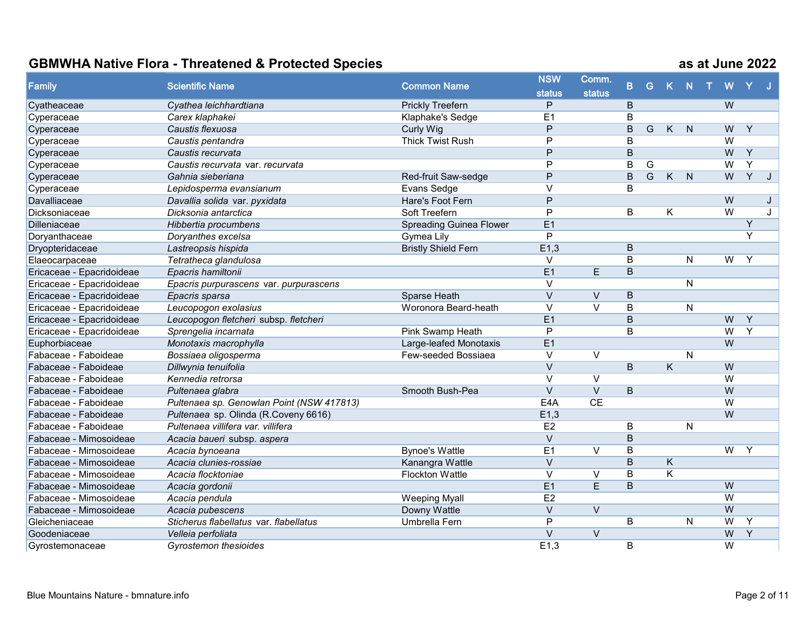| Family                    | <b>Scientific Name</b>                    | <b>Common Name</b>             | <b>NSW</b>        | Comm.                   |                | G              |                         |                | W              |                |   |
|---------------------------|-------------------------------------------|--------------------------------|-------------------|-------------------------|----------------|----------------|-------------------------|----------------|----------------|----------------|---|
|                           |                                           |                                | <b>status</b>     | <b>status</b>           | B.             |                | K N                     |                |                |                |   |
| Cyatheaceae               | Cyathea leichhardtiana                    | <b>Prickly Treefern</b>        | P                 |                         | B              |                |                         |                | W              |                |   |
| Cyperaceae                | Carex klaphakei                           | Klaphake's Sedge               | E <sub>1</sub>    |                         | B              |                |                         |                |                |                |   |
| Cyperaceae                | Caustis flexuosa                          | <b>Curly Wig</b>               | P                 |                         | B              | G              | $\overline{K}$          | $\overline{N}$ | W              | Y              |   |
| Cyperaceae                | Caustis pentandra                         | <b>Thick Twist Rush</b>        | P                 |                         | B              |                |                         |                | $\overline{W}$ |                |   |
| Cyperaceae                | Caustis recurvata                         |                                | P                 |                         | $\overline{B}$ |                |                         |                | W              | $\overline{Y}$ |   |
| Cyperaceae                | Caustis recurvata var. recurvata          |                                | P                 |                         | B              | G              |                         |                | W              | Y              |   |
| Cyperaceae                | Gahnia sieberiana                         | Red-fruit Saw-sedge            | P                 |                         | $\overline{B}$ | $\overline{G}$ | K                       | $\overline{N}$ | W              | $\overline{Y}$ | J |
| Cyperaceae                | Lepidosperma evansianum                   | Evans Sedge                    | $\vee$            |                         | B              |                |                         |                |                |                |   |
| Davalliaceae              | Davallia solida var. pyxidata             | Hare's Foot Fern               | P                 |                         |                |                |                         |                | W              |                | J |
| Dicksoniaceae             | Dicksonia antarctica                      | Soft Treefern                  | P                 |                         | B              |                | K                       |                | $\overline{W}$ |                | J |
| Dilleniaceae              | Hibbertia procumbens                      | <b>Spreading Guinea Flower</b> | E1                |                         |                |                |                         |                |                | Y              |   |
| Doryanthaceae             | Doryanthes excelsa                        | Gymea Lily                     | $\mathsf{P}$      |                         |                |                |                         |                |                | Y              |   |
| Dryopteridaceae           | Lastreopsis hispida                       | <b>Bristly Shield Fern</b>     | E1,3              |                         | B              |                |                         |                |                |                |   |
| Elaeocarpaceae            | Tetratheca glandulosa                     |                                | V                 |                         | B              |                |                         | N              | W              | Y              |   |
| Ericaceae - Epacridoideae | Epacris hamiltonii                        |                                | E1                | E                       | $\overline{B}$ |                |                         |                |                |                |   |
| Ericaceae - Epacridoideae | Epacris purpurascens var. purpurascens    |                                | $\vee$            |                         |                |                |                         | N              |                |                |   |
| Ericaceae - Epacridoideae | Epacris sparsa                            | Sparse Heath                   | $\vee$            | $\vee$                  | B              |                |                         |                |                |                |   |
| Ericaceae - Epacridoideae | Leucopogon exolasius                      | Woronora Beard-heath           | $\vee$            | $\overline{\vee}$       | B              |                |                         | N              |                |                |   |
| Ericaceae - Epacridoideae | Leucopogon fletcheri subsp. fletcheri     |                                | E <sub>1</sub>    |                         | B              |                |                         |                | W              | Y              |   |
| Ericaceae - Epacridoideae | Sprengelia incarnata                      | Pink Swamp Heath               | P                 |                         | B              |                |                         |                | $\overline{W}$ | Y              |   |
| Euphorbiaceae             | Monotaxis macrophylla                     | Large-leafed Monotaxis         | E1                |                         |                |                |                         |                | W              |                |   |
| Fabaceae - Faboideae      | Bossiaea oligosperma                      | Few-seeded Bossiaea            | $\vee$            | $\vee$                  |                |                |                         | N              |                |                |   |
| Fabaceae - Faboideae      | Dillwynia tenuifolia                      |                                | $\vee$            |                         | B              |                | $\overline{K}$          |                | W              |                |   |
| Fabaceae - Faboideae      | Kennedia retrorsa                         |                                | $\vee$            | $\vee$                  |                |                |                         |                | $\overline{W}$ |                |   |
| Fabaceae - Faboideae      | Pultenaea glabra                          | Smooth Bush-Pea                | $\vee$            | $\vee$                  | B              |                |                         |                | W              |                |   |
| Fabaceae - Faboideae      | Pultenaea sp. Genowlan Point (NSW 417813) |                                | E4A               | CE                      |                |                |                         |                | $\overline{W}$ |                |   |
| Fabaceae - Faboideae      | Pultenaea sp. Olinda (R.Coveny 6616)      |                                | E1,3              |                         |                |                |                         |                | W              |                |   |
| Fabaceae - Faboideae      | Pultenaea villifera var. villifera        |                                | E2                |                         | B              |                |                         | N              |                |                |   |
| Fabaceae - Mimosoideae    | Acacia baueri subsp. aspera               |                                | $\vee$            |                         | B              |                |                         |                |                |                |   |
| Fabaceae - Mimosoideae    | Acacia bynoeana                           | <b>Bynoe's Wattle</b>          | E1                | $\vee$                  | B              |                |                         |                | W              | Y              |   |
| Fabaceae - Mimosoideae    | Acacia clunies-rossiae                    | Kanangra Wattle                | $\vee$            |                         | $\overline{B}$ |                | K                       |                |                |                |   |
| Fabaceae - Mimosoideae    | Acacia flocktoniae                        | <b>Flockton Wattle</b>         | $\overline{\vee}$ | $\overline{\mathsf{v}}$ | $\overline{B}$ |                | $\overline{\mathsf{K}}$ |                |                |                |   |
| Fabaceae - Mimosoideae    | Acacia gordonii                           |                                | E1                | $\mathsf E$             | B              |                |                         |                | W              |                |   |
| Fabaceae - Mimosoideae    | Acacia pendula                            | <b>Weeping Myall</b>           | E2                |                         |                |                |                         |                | $\overline{W}$ |                |   |
| Fabaceae - Mimosoideae    | Acacia pubescens                          | Downy Wattle                   | $\vee$            | $\vee$                  |                |                |                         |                | $\overline{W}$ |                |   |
| Gleicheniaceae            | Sticherus flabellatus var. flabellatus    | Umbrella Fern                  | P                 |                         | B              |                |                         | N              | W              | Y              |   |
| Goodeniaceae              | Velleia perfoliata                        |                                | $\vee$            | $\vee$                  |                |                |                         |                | $\overline{W}$ | $\overline{Y}$ |   |
| Gyrostemonaceae           | <b>Gyrostemon thesioides</b>              |                                | E1,3              |                         | B              |                |                         |                | $\overline{W}$ |                |   |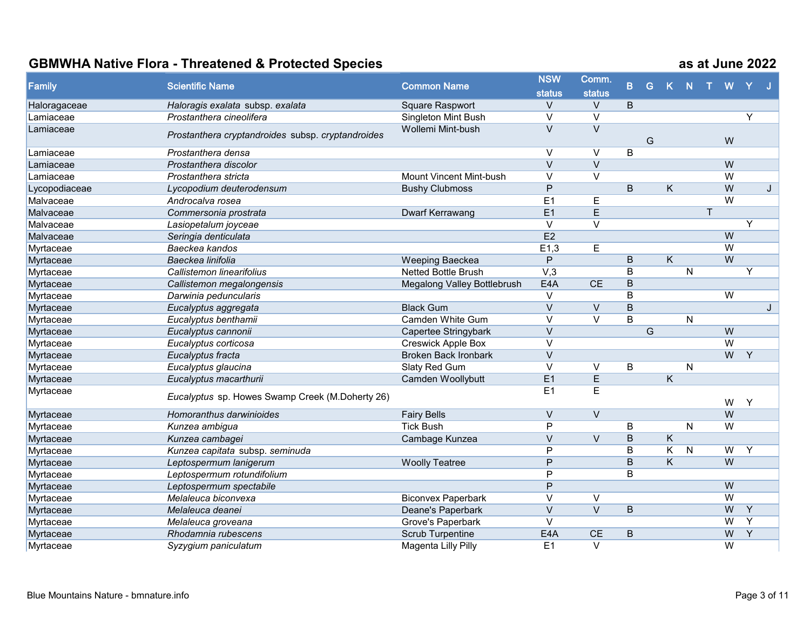| Family        | <b>Scientific Name</b>                            | <b>Common Name</b>          | <b>NSW</b>        | Comm.                   |                |   |                         |              |              |                |                |   |
|---------------|---------------------------------------------------|-----------------------------|-------------------|-------------------------|----------------|---|-------------------------|--------------|--------------|----------------|----------------|---|
|               |                                                   |                             | <b>status</b>     | <b>status</b>           | B              | G | $\mathsf K$             | N            |              | W              |                |   |
| Haloragaceae  | Haloragis exalata subsp. exalata                  | <b>Square Raspwort</b>      | V                 | $\vee$                  | B              |   |                         |              |              |                |                |   |
| Lamiaceae     | Prostanthera cineolifera                          | Singleton Mint Bush         | $\overline{\vee}$ | $\overline{\vee}$       |                |   |                         |              |              |                | Y              |   |
| Lamiaceae     |                                                   | Wollemi Mint-bush           | $\overline{\vee}$ | $\overline{\vee}$       |                |   |                         |              |              |                |                |   |
|               | Prostanthera cryptandroides subsp. cryptandroides |                             |                   |                         |                | G |                         |              |              | W              |                |   |
| Lamiaceae     | Prostanthera densa                                |                             | V                 | $\vee$                  | B              |   |                         |              |              |                |                |   |
| Lamiaceae     | Prostanthera discolor                             |                             | $\overline{\vee}$ | $\overline{\vee}$       |                |   |                         |              |              | W              |                |   |
| Lamiaceae     | Prostanthera stricta                              | Mount Vincent Mint-bush     | $\vee$            | $\vee$                  |                |   |                         |              |              | $\overline{W}$ |                |   |
| Lycopodiaceae | Lycopodium deuterodensum                          | <b>Bushy Clubmoss</b>       | P                 |                         | B              |   | K                       |              |              | $\overline{W}$ |                | J |
| Malvaceae     | Androcalva rosea                                  |                             | E1                | $\mathsf E$             |                |   |                         |              |              | $\overline{W}$ |                |   |
| Malvaceae     | Commersonia prostrata                             | Dwarf Kerrawang             | E1                | $\overline{\mathsf{E}}$ |                |   |                         |              | $\mathsf{T}$ |                |                |   |
| Malvaceae     | Lasiopetalum joyceae                              |                             | $\overline{\vee}$ | $\overline{\vee}$       |                |   |                         |              |              |                | $\overline{Y}$ |   |
| Malvaceae     | Seringia denticulata                              |                             | E2                |                         |                |   |                         |              |              | W              |                |   |
| Myrtaceae     | Baeckea kandos                                    |                             | E1,3              | $\mathsf E$             |                |   |                         |              |              | $\overline{W}$ |                |   |
| Myrtaceae     | Baeckea linifolia                                 | Weeping Baeckea             | P                 |                         | B              |   | K                       |              |              | W              |                |   |
| Myrtaceae     | Callistemon linearifolius                         | Netted Bottle Brush         | V,3               |                         | B              |   |                         | $\mathsf{N}$ |              |                | Y              |   |
| Myrtaceae     | Callistemon megalongensis                         | Megalong Valley Bottlebrush | E4A               | CE                      | B              |   |                         |              |              |                |                |   |
| Myrtaceae     | Darwinia peduncularis                             |                             | $\vee$            |                         | B              |   |                         |              |              | $\overline{W}$ |                |   |
| Myrtaceae     | Eucalyptus aggregata                              | <b>Black Gum</b>            | $\overline{\vee}$ | $\overline{\vee}$       | $\overline{B}$ |   |                         |              |              |                |                | J |
| Myrtaceae     | Eucalyptus benthamii                              | Camden White Gum            | $\vee$            | $\overline{\vee}$       | $\overline{B}$ |   |                         | N            |              |                |                |   |
| Myrtaceae     | Eucalyptus cannonii                               | Capertee Stringybark        | $\overline{\vee}$ |                         |                | G |                         |              |              | W              |                |   |
| Myrtaceae     | Eucalyptus corticosa                              | <b>Creswick Apple Box</b>   | $\vee$            |                         |                |   |                         |              |              | W              |                |   |
| Myrtaceae     | Eucalyptus fracta                                 | <b>Broken Back Ironbark</b> | $\mathsf V$       |                         |                |   |                         |              |              | W              | Y              |   |
| Myrtaceae     | Eucalyptus glaucina                               | Slaty Red Gum               | $\vee$            | $\vee$                  | B              |   |                         | N            |              |                |                |   |
| Myrtaceae     | Eucalyptus macarthurii                            | Camden Woollybutt           | E1                | $\overline{E}$          |                |   | $\overline{\mathsf{K}}$ |              |              |                |                |   |
| Myrtaceae     |                                                   |                             | E <sub>1</sub>    | $\mathsf E$             |                |   |                         |              |              |                |                |   |
|               | Eucalyptus sp. Howes Swamp Creek (M.Doherty 26)   |                             |                   |                         |                |   |                         |              |              | W              | Y              |   |
| Myrtaceae     | Homoranthus darwinioides                          | <b>Fairy Bells</b>          | $\vee$            | $\vee$                  |                |   |                         |              |              | W              |                |   |
| Myrtaceae     | Kunzea ambigua                                    | <b>Tick Bush</b>            | $\overline{P}$    |                         | В              |   |                         | N.           |              | $\overline{W}$ |                |   |
| Myrtaceae     | Kunzea cambagei                                   | Cambage Kunzea              | $\vee$            | $\vee$                  | B              |   | $\overline{\mathsf{K}}$ |              |              |                |                |   |
| Myrtaceae     | Kunzea capitata subsp. seminuda                   |                             | P                 |                         | B              |   | K                       | ${\sf N}$    |              | $\overline{W}$ | Y              |   |
| Myrtaceae     | Leptospermum lanigerum                            | <b>Woolly Teatree</b>       | $\overline{P}$    |                         | $\overline{B}$ |   | $\overline{\mathsf{K}}$ |              |              | $\overline{W}$ |                |   |
| Myrtaceae     | Leptospermum rotundifolium                        |                             | P                 |                         | B              |   |                         |              |              |                |                |   |
| Myrtaceae     | Leptospermum spectabile                           |                             | P                 |                         |                |   |                         |              |              | $\overline{W}$ |                |   |
| Myrtaceae     | Melaleuca biconvexa                               | <b>Biconvex Paperbark</b>   | $\vee$            | $\vee$                  |                |   |                         |              |              | $\overline{W}$ |                |   |
| Myrtaceae     | Melaleuca deanei                                  | Deane's Paperbark           | $\overline{\vee}$ | $\overline{\vee}$       | B              |   |                         |              |              | W              | Y              |   |
| Myrtaceae     | Melaleuca groveana                                | Grove's Paperbark           | $\vee$            |                         |                |   |                         |              |              | W              | $\overline{Y}$ |   |
| Myrtaceae     | Rhodamnia rubescens                               | <b>Scrub Turpentine</b>     | E4A               | CE                      | B              |   |                         |              |              | W              | $\overline{Y}$ |   |
| Myrtaceae     | Syzygium paniculatum                              | Magenta Lilly Pilly         | E1                | $\overline{\vee}$       |                |   |                         |              |              | $\overline{W}$ |                |   |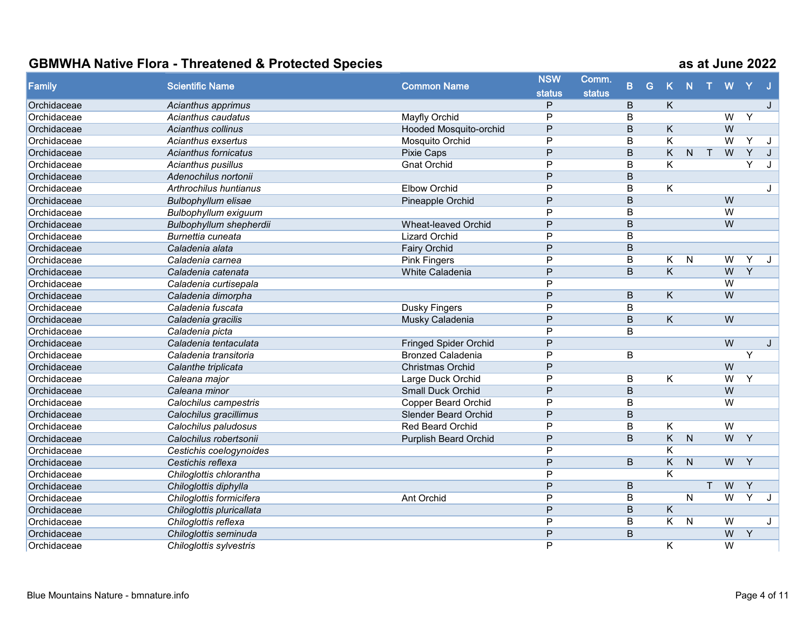| Family      | <b>Scientific Name</b>      | <b>Common Name</b>           | <b>NSW</b>     | Comm.         |                |   |                         |                |        |                |                |              |
|-------------|-----------------------------|------------------------------|----------------|---------------|----------------|---|-------------------------|----------------|--------|----------------|----------------|--------------|
|             |                             |                              | <b>status</b>  | <b>status</b> | $\mathbf{B}$   | G | $\mathsf{K}$            | $\mathbb N$    |        | W              |                |              |
| Orchidaceae | Acianthus apprimus          |                              | P              |               | $\overline{B}$ |   | K.                      |                |        |                |                | J            |
| Orchidaceae | Acianthus caudatus          | Mayfly Orchid                | P              |               | B              |   |                         |                |        | $\overline{W}$ | Y              |              |
| Orchidaceae | Acianthus collinus          | Hooded Mosquito-orchid       | P              |               | $\overline{B}$ |   | $\overline{K}$          |                |        | $\overline{W}$ |                |              |
| Orchidaceae | Acianthus exsertus          | Mosquito Orchid              | P              |               | B              |   | $\overline{\mathsf{K}}$ |                |        | $\overline{W}$ | Y              | J            |
| Orchidaceae | <b>Acianthus fornicatus</b> | Pixie Caps                   | P              |               | $\overline{B}$ |   | $\overline{\mathsf{K}}$ | N.             | $\top$ | W              | $\overline{Y}$ | J            |
| Orchidaceae | Acianthus pusillus          | <b>Gnat Orchid</b>           | P              |               | B              |   | Κ                       |                |        |                | Y              | J            |
| Orchidaceae | Adenochilus nortonii        |                              | P              |               | B              |   |                         |                |        |                |                |              |
| Orchidaceae | Arthrochilus huntianus      | <b>Elbow Orchid</b>          | $\overline{P}$ |               | B              |   | Κ                       |                |        |                |                | J            |
| Orchidaceae | <b>Bulbophyllum elisae</b>  | Pineapple Orchid             | P              |               | B              |   |                         |                |        | $\overline{W}$ |                |              |
| Orchidaceae | Bulbophyllum exiguum        |                              | P              |               | B              |   |                         |                |        | W              |                |              |
| Orchidaceae | Bulbophyllum shepherdii     | <b>Wheat-leaved Orchid</b>   | P              |               | B              |   |                         |                |        | W              |                |              |
| Orchidaceae | Burnettia cuneata           | <b>Lizard Orchid</b>         | P              |               | B              |   |                         |                |        |                |                |              |
| Orchidaceae | Caladenia alata             | <b>Fairy Orchid</b>          | P              |               | B              |   |                         |                |        |                |                |              |
| Orchidaceae | Caladenia carnea            | <b>Pink Fingers</b>          | P              |               | B              |   | K                       | $\mathsf{N}$   |        | W              | Y              | J            |
| Orchidaceae | Caladenia catenata          | <b>White Caladenia</b>       | $\overline{P}$ |               | $\overline{B}$ |   | $\overline{\mathsf{K}}$ |                |        | $\overline{W}$ | $\overline{Y}$ |              |
| Orchidaceae | Caladenia curtisepala       |                              | P              |               |                |   |                         |                |        | $\overline{W}$ |                |              |
| Orchidaceae | Caladenia dimorpha          |                              | P              |               | B              |   | $\overline{\mathsf{K}}$ |                |        | $\overline{W}$ |                |              |
| Orchidaceae | Caladenia fuscata           | Dusky Fingers                | P              |               | B              |   |                         |                |        |                |                |              |
| Orchidaceae | Caladenia gracilis          | Musky Caladenia              | P              |               | B              |   | K                       |                |        | $\overline{W}$ |                |              |
| Orchidaceae | Caladenia picta             |                              | P              |               | B              |   |                         |                |        |                |                |              |
| Orchidaceae | Caladenia tentaculata       | <b>Fringed Spider Orchid</b> | P              |               |                |   |                         |                |        | $\overline{W}$ |                | $\mathbf{J}$ |
| Orchidaceae | Caladenia transitoria       | <b>Bronzed Caladenia</b>     | $\overline{P}$ |               | B              |   |                         |                |        |                | Y              |              |
| Orchidaceae | Calanthe triplicata         | <b>Christmas Orchid</b>      | $\overline{P}$ |               |                |   |                         |                |        | $\overline{W}$ |                |              |
| Orchidaceae | Caleana major               | Large Duck Orchid            | $\overline{P}$ |               | $\overline{B}$ |   | $\overline{\mathsf{K}}$ |                |        | $\overline{W}$ | Y              |              |
| Orchidaceae | Caleana minor               | <b>Small Duck Orchid</b>     | P              |               | B              |   |                         |                |        | W              |                |              |
| Orchidaceae | Calochilus campestris       | <b>Copper Beard Orchid</b>   | P              |               | B              |   |                         |                |        | W              |                |              |
| Orchidaceae | Calochilus gracillimus      | <b>Slender Beard Orchid</b>  | P              |               | B              |   |                         |                |        |                |                |              |
| Orchidaceae | Calochilus paludosus        | <b>Red Beard Orchid</b>      | P              |               | B              |   | Κ                       |                |        | $\overline{W}$ |                |              |
| Orchidaceae | Calochilus robertsonii      | <b>Purplish Beard Orchid</b> | P              |               | B              |   | $\overline{\mathsf{K}}$ | N              |        | $\overline{W}$ | Y              |              |
| Orchidaceae | Cestichis coelogynoides     |                              | $\mathsf{P}$   |               |                |   | $\overline{\mathsf{K}}$ |                |        |                |                |              |
| Orchidaceae | Cestichis reflexa           |                              | P              |               | $\overline{B}$ |   | $\overline{K}$          | $\overline{N}$ |        | W              | $\overline{Y}$ |              |
| Orchidaceae | Chiloglottis chlorantha     |                              | $\overline{P}$ |               |                |   | $\overline{\mathsf{K}}$ |                |        |                |                |              |
| Orchidaceae | Chiloglottis diphylla       |                              | $\mathsf{P}$   |               | B              |   |                         |                | T      | W              | $\overline{Y}$ |              |
| Orchidaceae | Chiloglottis formicifera    | Ant Orchid                   | P              |               | B              |   |                         | $\overline{N}$ |        | $\overline{W}$ | Y              | $\cdot$      |
| Orchidaceae | Chiloglottis pluricallata   |                              | P              |               | B              |   | K                       |                |        |                |                |              |
| Orchidaceae | Chiloglottis reflexa        |                              | P              |               | B              |   | K.                      | $\mathsf{N}$   |        | $\overline{W}$ |                | J            |
| Orchidaceae | Chiloglottis seminuda       |                              | P              |               | $\mathsf B$    |   |                         |                |        | $\overline{W}$ | Y              |              |
| Orchidaceae | Chiloglottis sylvestris     |                              | P              |               |                |   | K                       |                |        | $\overline{W}$ |                |              |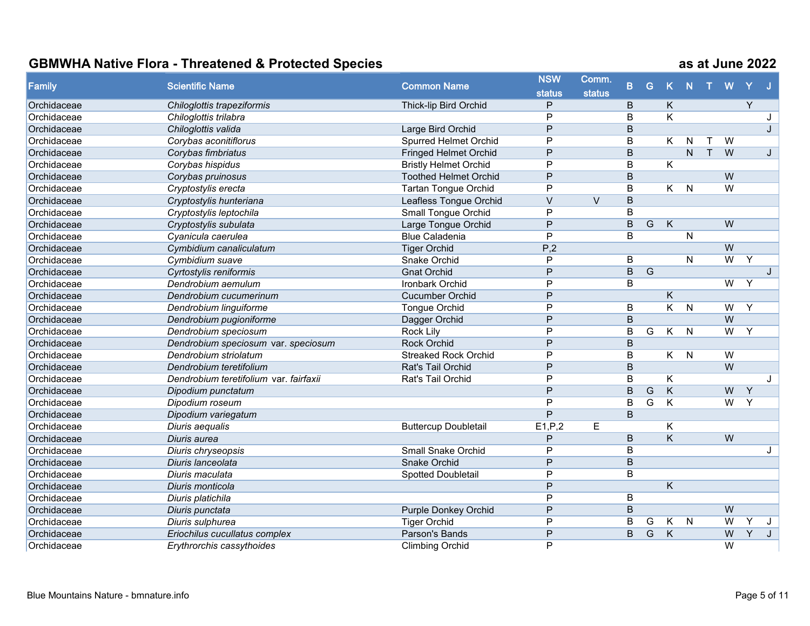| Family      | <b>Scientific Name</b>                 |                              | <b>NSW</b><br><b>Common Name</b> | Comm.<br>B.   |                         | G              |                         |              |   |                |                |                |
|-------------|----------------------------------------|------------------------------|----------------------------------|---------------|-------------------------|----------------|-------------------------|--------------|---|----------------|----------------|----------------|
|             |                                        |                              | <b>status</b>                    | <b>status</b> |                         |                | K                       | $\mathbf N$  |   | W              |                |                |
| Orchidaceae | Chiloglottis trapeziformis             | Thick-lip Bird Orchid        | P                                |               | $\mathsf B$             |                | K                       |              |   |                | Y              |                |
| Orchidaceae | Chiloglottis trilabra                  |                              | P                                |               | B                       |                | Κ                       |              |   |                |                |                |
| Orchidaceae | Chiloglottis valida                    | Large Bird Orchid            | P                                |               | B                       |                |                         |              |   |                |                | $\mathbf{I}$ . |
| Orchidaceae | Corybas aconitiflorus                  | <b>Spurred Helmet Orchid</b> | P                                |               | B                       |                | K.                      | N            | ᠇ | W              |                |                |
| Orchidaceae | Corybas fimbriatus                     | <b>Fringed Helmet Orchid</b> | P                                |               | B                       |                |                         | N.           | T | W              |                | J              |
| Orchidaceae | Corybas hispidus                       | <b>Bristly Helmet Orchid</b> | P                                |               | B                       |                | Κ                       |              |   |                |                |                |
| Orchidaceae | Corybas pruinosus                      | <b>Toothed Helmet Orchid</b> | $\overline{P}$                   |               | $\overline{B}$          |                |                         |              |   | W              |                |                |
| Orchidaceae | Cryptostylis erecta                    | <b>Tartan Tongue Orchid</b>  | P                                |               | $\overline{\mathsf{B}}$ |                | K.                      | N            |   | $\overline{W}$ |                |                |
| Orchidaceae | Cryptostylis hunteriana                | Leafless Tongue Orchid       | $\vee$                           | $\vee$        | B                       |                |                         |              |   |                |                |                |
| Orchidaceae | Cryptostylis leptochila                | <b>Small Tongue Orchid</b>   | P                                |               | B                       |                |                         |              |   |                |                |                |
| Orchidaceae | Cryptostylis subulata                  | Large Tongue Orchid          | P                                |               | B                       | $\overline{G}$ | K                       |              |   | W              |                |                |
| Orchidaceae | Cyanicula caerulea                     | <b>Blue Caladenia</b>        | P                                |               | B                       |                |                         | N            |   |                |                |                |
| Orchidaceae | Cymbidium canaliculatum                | <b>Tiger Orchid</b>          | P,2                              |               |                         |                |                         |              |   | $\overline{W}$ |                |                |
| Orchidaceae | Cymbidium suave                        | Snake Orchid                 | P                                |               | B                       |                |                         | $\mathsf{N}$ |   | $\overline{W}$ | $\overline{Y}$ |                |
| Orchidaceae | Cyrtostylis reniformis                 | <b>Gnat Orchid</b>           | $\overline{P}$                   |               | $\overline{B}$          | G              |                         |              |   |                |                | J              |
| Orchidaceae | Dendrobium aemulum                     | Ironbark Orchid              | $\overline{P}$                   |               | B                       |                |                         |              |   | $\overline{W}$ | Y              |                |
| Orchidaceae | Dendrobium cucumerinum                 | <b>Cucumber Orchid</b>       | P                                |               |                         |                | Κ                       |              |   |                |                |                |
| Orchidaceae | Dendrobium linguiforme                 | <b>Tongue Orchid</b>         | P                                |               | B                       |                | $\overline{\mathsf{K}}$ | N            |   | $\overline{W}$ | Y              |                |
| Orchidaceae | Dendrobium pugioniforme                | Dagger Orchid                | P                                |               | $\overline{B}$          |                |                         |              |   | $\overline{W}$ |                |                |
| Orchidaceae | Dendrobium speciosum                   | Rock Lily                    | P                                |               | B                       | G              | $\overline{K}$          | N            |   | $\overline{W}$ | Y              |                |
| Orchidaceae | Dendrobium speciosum var. speciosum    | <b>Rock Orchid</b>           | P                                |               | $\sf B$                 |                |                         |              |   |                |                |                |
| Orchidaceae | Dendrobium striolatum                  | <b>Streaked Rock Orchid</b>  | P                                |               | B                       |                | K.                      | N            |   | W              |                |                |
| Orchidaceae | Dendrobium teretifolium                | Rat's Tail Orchid            | P                                |               | B                       |                |                         |              |   | $\overline{W}$ |                |                |
| Orchidaceae | Dendrobium teretifolium var. fairfaxii | Rat's Tail Orchid            | P                                |               | B                       |                | K                       |              |   |                |                | J              |
| Orchidaceae | Dipodium punctatum                     |                              | P                                |               | B                       | G              | K                       |              |   | $\overline{W}$ | Y              |                |
| Orchidaceae | Dipodium roseum                        |                              | P                                |               | B                       | G              | Κ                       |              |   | $\overline{W}$ | Y              |                |
| Orchidaceae | Dipodium variegatum                    |                              | P                                |               | B                       |                |                         |              |   |                |                |                |
| Orchidaceae | Diuris aequalis                        | <b>Buttercup Doubletail</b>  | E1, P, 2                         | E             |                         |                | Κ                       |              |   |                |                |                |
| Orchidaceae | Diuris aurea                           |                              | P                                |               | B                       |                | Κ                       |              |   | W              |                |                |
| Orchidaceae | Diuris chryseopsis                     | <b>Small Snake Orchid</b>    | P                                |               | B                       |                |                         |              |   |                |                | J              |
| Orchidaceae | Diuris lanceolata                      | <b>Snake Orchid</b>          | $\overline{P}$                   |               | $\overline{B}$          |                |                         |              |   |                |                |                |
| Orchidaceae | Diuris maculata                        | Spotted Doubletail           | $\overline{P}$                   |               | $\overline{\mathsf{B}}$ |                |                         |              |   |                |                |                |
| Orchidaceae | Diuris monticola                       |                              | $\mathsf{P}$                     |               |                         |                | Κ                       |              |   |                |                |                |
| Orchidaceae | Diuris platichila                      |                              | P                                |               | B                       |                |                         |              |   |                |                |                |
| Orchidaceae | Diuris punctata                        | <b>Purple Donkey Orchid</b>  | P                                |               | $\overline{B}$          |                |                         |              |   | W              |                |                |
| Orchidaceae | Diuris sulphurea                       | <b>Tiger Orchid</b>          | P                                |               | B                       | G              | K                       | N            |   | W              | v              | J              |
| Orchidaceae | Eriochilus cucullatus complex          | Parson's Bands               | P                                |               | B                       | $\overline{G}$ | $\overline{\mathsf{K}}$ |              |   | W              | Y              | J              |
| Orchidaceae | Erythrorchis cassythoides              | <b>Climbing Orchid</b>       | P                                |               |                         |                |                         |              |   | $\overline{W}$ |                |                |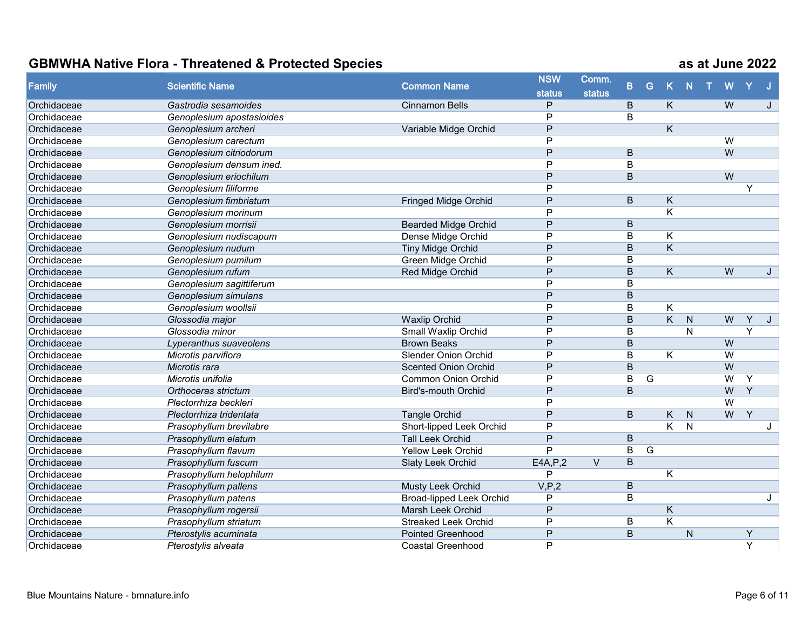| Family      | <b>Scientific Name</b>    |                                 | <b>NSW</b>     | Comm.         | B.             | G | K                       | N            | W              |                |              |
|-------------|---------------------------|---------------------------------|----------------|---------------|----------------|---|-------------------------|--------------|----------------|----------------|--------------|
|             |                           | <b>Common Name</b>              | <b>status</b>  | <b>status</b> |                |   |                         |              |                |                |              |
| Orchidaceae | Gastrodia sesamoides      | <b>Cinnamon Bells</b>           | P              |               | B              |   | K                       |              | W              |                | $\mathbf{J}$ |
| Orchidaceae | Genoplesium apostasioides |                                 | P              |               | B              |   |                         |              |                |                |              |
| Orchidaceae | Genoplesium archeri       | Variable Midge Orchid           | P              |               |                |   | K                       |              |                |                |              |
| Orchidaceae | Genoplesium carectum      |                                 | P              |               |                |   |                         |              | $\overline{W}$ |                |              |
| Orchidaceae | Genoplesium citriodorum   |                                 | P              |               | B              |   |                         |              | $\overline{W}$ |                |              |
| Orchidaceae | Genoplesium densum ined.  |                                 | P              |               | B              |   |                         |              |                |                |              |
| Orchidaceae | Genoplesium eriochilum    |                                 | P              |               | B              |   |                         |              | W              |                |              |
| Orchidaceae | Genoplesium filiforme     |                                 | P              |               |                |   |                         |              |                |                |              |
| Orchidaceae | Genoplesium fimbriatum    | <b>Fringed Midge Orchid</b>     | P              |               | B              |   | K                       |              |                |                |              |
| Orchidaceae | Genoplesium morinum       |                                 | P              |               |                |   | Κ                       |              |                |                |              |
| Orchidaceae | Genoplesium morrisii      | <b>Bearded Midge Orchid</b>     | P              |               | B              |   |                         |              |                |                |              |
| Orchidaceae | Genoplesium nudiscapum    | Dense Midge Orchid              | P              |               | $\overline{B}$ |   | Κ                       |              |                |                |              |
| Orchidaceae | Genoplesium nudum         | <b>Tiny Midge Orchid</b>        | P              |               | B              |   | $\overline{\mathsf{K}}$ |              |                |                |              |
| Orchidaceae | Genoplesium pumilum       | Green Midge Orchid              | P              |               | B              |   |                         |              |                |                |              |
| Orchidaceae | Genoplesium rufum         | <b>Red Midge Orchid</b>         | $\overline{P}$ |               | $\overline{B}$ |   | $\overline{K}$          |              | W              |                | J            |
| Orchidaceae | Genoplesium sagittiferum  |                                 | $\overline{P}$ |               | $\overline{B}$ |   |                         |              |                |                |              |
| Orchidaceae | Genoplesium simulans      |                                 | P              |               | B              |   |                         |              |                |                |              |
| Orchidaceae | Genoplesium woollsii      |                                 | P              |               | B              |   | K                       |              |                |                |              |
| Orchidaceae | Glossodia major           | <b>Waxlip Orchid</b>            | P              |               | B              |   | K.                      | N            | W              | Y              | J            |
| Orchidaceae | Glossodia minor           | Small Waxlip Orchid             | P              |               | B              |   |                         | N            |                | Y              |              |
| Orchidaceae | Lyperanthus suaveolens    | <b>Brown Beaks</b>              | P              |               | B              |   |                         |              | W              |                |              |
| Orchidaceae | Microtis parviflora       | <b>Slender Onion Orchid</b>     | P              |               | B              |   | K                       |              | $\overline{W}$ |                |              |
| Orchidaceae | Microtis rara             | <b>Scented Onion Orchid</b>     | P              |               | $\overline{B}$ |   |                         |              | $\overline{W}$ |                |              |
| Orchidaceae | Microtis unifolia         | <b>Common Onion Orchid</b>      | P              |               | B              | G |                         |              | $\overline{W}$ | Y              |              |
| Orchidaceae | Orthoceras strictum       | <b>Bird's-mouth Orchid</b>      | P              |               | B              |   |                         |              | $\overline{W}$ | $\overline{Y}$ |              |
| Orchidaceae | Plectorrhiza beckleri     |                                 | P              |               |                |   |                         |              | $\overline{W}$ |                |              |
| Orchidaceae | Plectorrhiza tridentata   | <b>Tangle Orchid</b>            | P              |               | B              |   | K.                      | N            | W              | Y              |              |
| Orchidaceae | Prasophyllum brevilabre   | Short-lipped Leek Orchid        | P              |               |                |   | $\overline{\mathsf{K}}$ | N            |                |                | J            |
| Orchidaceae | Prasophyllum elatum       | <b>Tall Leek Orchid</b>         | P              |               | B              |   |                         |              |                |                |              |
| Orchidaceae | Prasophyllum flavum       | Yellow Leek Orchid              | P              |               | B              | G |                         |              |                |                |              |
| Orchidaceae | Prasophyllum fuscum       | <b>Slaty Leek Orchid</b>        | E4A, P, 2      | $\vee$        | $\overline{B}$ |   |                         |              |                |                |              |
| Orchidaceae | Prasophyllum helophilum   |                                 | P              |               |                |   | $\overline{\mathsf{K}}$ |              |                |                |              |
| Orchidaceae | Prasophyllum pallens      | Musty Leek Orchid               | V, P, 2        |               | B              |   |                         |              |                |                |              |
| Orchidaceae | Prasophyllum patens       | <b>Broad-lipped Leek Orchid</b> | P              |               | B              |   |                         |              |                |                | J            |
| Orchidaceae | Prasophyllum rogersii     | Marsh Leek Orchid               | P              |               |                |   | Κ                       |              |                |                |              |
| Orchidaceae | Prasophyllum striatum     | <b>Streaked Leek Orchid</b>     | P              |               | B              |   | Κ                       |              |                |                |              |
| Orchidaceae | Pterostylis acuminata     | <b>Pointed Greenhood</b>        | P              |               | B              |   |                         | $\mathsf{N}$ |                | Y              |              |
| Orchidaceae | Pterostylis alveata       | <b>Coastal Greenhood</b>        | P              |               |                |   |                         |              |                | $\overline{Y}$ |              |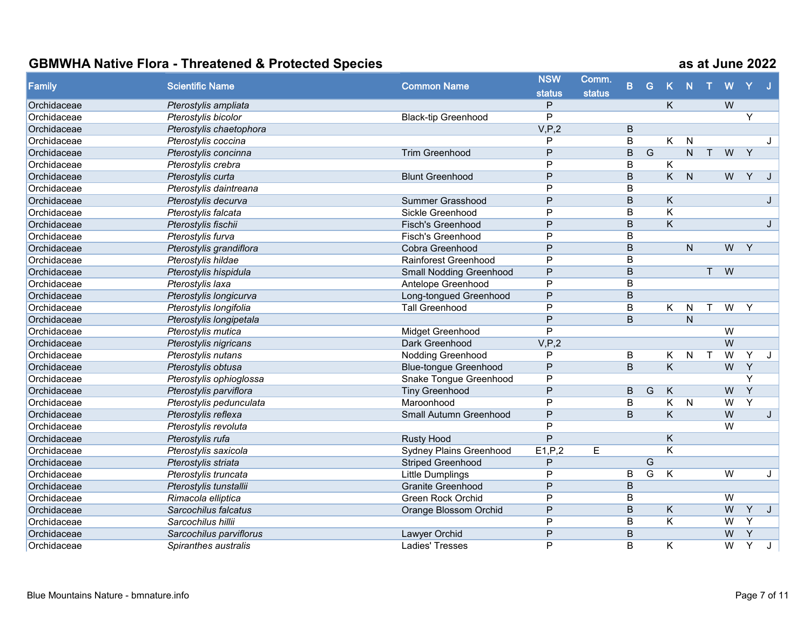| <b>Family</b> |                         |                                | <b>NSW</b>     | Comm.         |                         |                |                         |                |              |                |                |              |
|---------------|-------------------------|--------------------------------|----------------|---------------|-------------------------|----------------|-------------------------|----------------|--------------|----------------|----------------|--------------|
|               | <b>Scientific Name</b>  | <b>Common Name</b>             | <b>status</b>  | <b>status</b> | B.                      | G              |                         | $\mathbf N$    |              | w              |                |              |
| Orchidaceae   | Pterostylis ampliata    |                                | P              |               |                         |                | K.                      |                |              | W              |                |              |
| Orchidaceae   | Pterostylis bicolor     | <b>Black-tip Greenhood</b>     | P              |               |                         |                |                         |                |              |                | Y              |              |
| Orchidaceae   | Pterostylis chaetophora |                                | V, P, 2        |               | B                       |                |                         |                |              |                |                |              |
| Orchidaceae   | Pterostylis coccina     |                                | P              |               | $\overline{\mathsf{B}}$ |                | K                       | N              |              |                |                | $\mathbf{J}$ |
| Orchidaceae   | Pterostylis concinna    | <b>Trim Greenhood</b>          | P              |               | B                       | $\overline{G}$ |                         | $\overline{N}$ | $\mathsf{T}$ | W              | $\overline{Y}$ |              |
| Orchidaceae   | Pterostylis crebra      |                                | P              |               | B                       |                | Κ                       |                |              |                |                |              |
| Orchidaceae   | Pterostylis curta       | <b>Blunt Greenhood</b>         | P              |               | B                       |                | $\overline{\mathsf{K}}$ | $\mathsf{N}$   |              | W              | Y              |              |
| Orchidaceae   | Pterostylis daintreana  |                                | P              |               | B                       |                |                         |                |              |                |                |              |
| Orchidaceae   | Pterostylis decurva     | Summer Grasshood               | P              |               | B                       |                | K                       |                |              |                |                | J            |
| Orchidaceae   | Pterostylis falcata     | Sickle Greenhood               | P              |               | B                       |                | K                       |                |              |                |                |              |
| Orchidaceae   | Pterostylis fischii     | Fisch's Greenhood              | P              |               | $\overline{B}$          |                | $\overline{\mathsf{K}}$ |                |              |                |                | J            |
| Orchidaceae   | Pterostylis furva       | Fisch's Greenhood              | P              |               | B                       |                |                         |                |              |                |                |              |
| Orchidaceae   | Pterostylis grandiflora | Cobra Greenhood                | P              |               | B                       |                |                         | $\mathsf{N}$   |              | W              | Y              |              |
| Orchidaceae   | Pterostylis hildae      | Rainforest Greenhood           | P              |               | B                       |                |                         |                |              |                |                |              |
| Orchidaceae   | Pterostylis hispidula   | <b>Small Nodding Greenhood</b> | P              |               | $\overline{B}$          |                |                         |                | T            | W              |                |              |
| Orchidaceae   | Pterostylis laxa        | Antelope Greenhood             | P              |               | B                       |                |                         |                |              |                |                |              |
| Orchidaceae   | Pterostylis longicurva  | Long-tongued Greenhood         | P              |               | B                       |                |                         |                |              |                |                |              |
| Orchidaceae   | Pterostylis longifolia  | <b>Tall Greenhood</b>          | P              |               | B                       |                | K                       | N              | т            | W              | Y              |              |
| Orchidaceae   | Pterostylis longipetala |                                | P              |               | $\overline{B}$          |                |                         | $\overline{N}$ |              |                |                |              |
| Orchidaceae   | Pterostylis mutica      | Midget Greenhood               | P              |               |                         |                |                         |                |              | $\overline{W}$ |                |              |
| Orchidaceae   | Pterostylis nigricans   | Dark Greenhood                 | V.P.2          |               |                         |                |                         |                |              | W              |                |              |
| Orchidaceae   | Pterostylis nutans      | Nodding Greenhood              | P              |               | B                       |                | Κ                       | ${\sf N}$      | $\mathsf{T}$ | W              | Y              | J            |
| Orchidaceae   | Pterostylis obtusa      | <b>Blue-tongue Greenhood</b>   | P              |               | $\overline{B}$          |                | $\overline{\mathsf{K}}$ |                |              | W              | $\overline{Y}$ |              |
| Orchidaceae   | Pterostylis ophioglossa | Snake Tongue Greenhood         | P              |               |                         |                |                         |                |              |                | $\overline{Y}$ |              |
| Orchidaceae   | Pterostylis parviflora  | <b>Tiny Greenhood</b>          | P              |               | B                       | G              | K                       |                |              | W              | Y              |              |
| Orchidaceae   | Pterostylis pedunculata | Maroonhood                     | P              |               | B                       |                | K                       | N              |              | W              | $\overline{Y}$ |              |
| Orchidaceae   | Pterostylis reflexa     | Small Autumn Greenhood         | P              |               | B                       |                | $\overline{\mathsf{K}}$ |                |              | W              |                | J            |
| Orchidaceae   | Pterostylis revoluta    |                                | $\overline{P}$ |               |                         |                |                         |                |              | $\overline{W}$ |                |              |
| Orchidaceae   | Pterostylis rufa        | <b>Rusty Hood</b>              | P              |               |                         |                | K                       |                |              |                |                |              |
| Orchidaceae   | Pterostylis saxicola    | <b>Sydney Plains Greenhood</b> | E1, P, 2       | E             |                         |                | K                       |                |              |                |                |              |
| Orchidaceae   | Pterostylis striata     | <b>Striped Greenhood</b>       | P              |               |                         | $\overline{G}$ |                         |                |              |                |                |              |
| Orchidaceae   | Pterostylis truncata    | <b>Little Dumplings</b>        | P              |               | B                       | G              | K                       |                |              | $\overline{W}$ |                | J            |
| Orchidaceae   | Pterostylis tunstallii  | <b>Granite Greenhood</b>       | P              |               | B                       |                |                         |                |              |                |                |              |
| Orchidaceae   | Rimacola elliptica      | <b>Green Rock Orchid</b>       | P              |               | B                       |                |                         |                |              | $\overline{W}$ |                |              |
| Orchidaceae   | Sarcochilus falcatus    | Orange Blossom Orchid          | P              |               | B                       |                | K                       |                |              | W              | Y              | J            |
| Orchidaceae   | Sarcochilus hillii      |                                | P              |               | B                       |                | $\overline{\mathsf{K}}$ |                |              | $\overline{W}$ | $\overline{Y}$ |              |
| Orchidaceae   | Sarcochilus parviflorus | Lawyer Orchid                  | P              |               | $\overline{\mathsf{B}}$ |                |                         |                |              | W              | $\overline{Y}$ |              |
| Orchidaceae   | Spiranthes australis    | <b>Ladies' Tresses</b>         | P              |               | B                       |                | K                       |                |              | W              | $\overline{Y}$ | J            |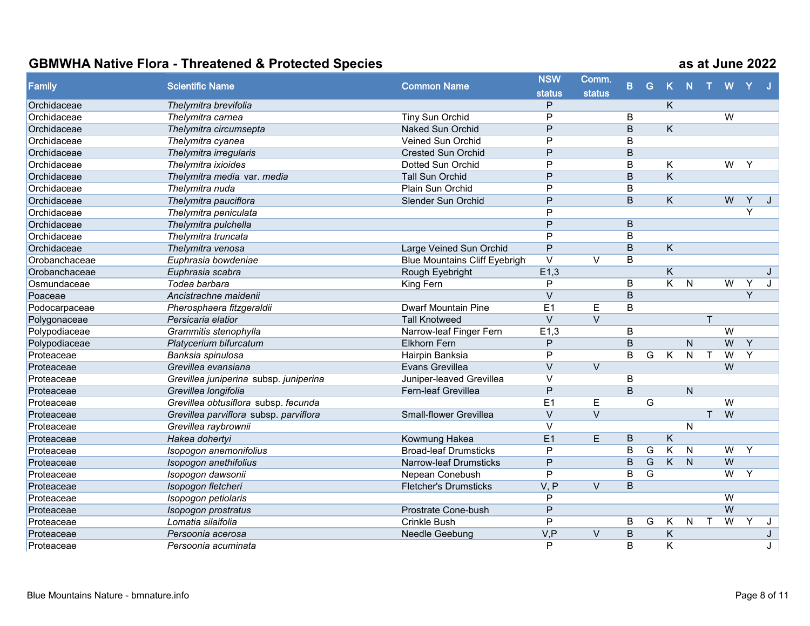| Family        | <b>Scientific Name</b>                 | <b>Common Name</b>                   | <b>NSW</b>     | Comm.         | B.             | G              | $\mathsf{K}$            | N.             |              | W              |                |   |
|---------------|----------------------------------------|--------------------------------------|----------------|---------------|----------------|----------------|-------------------------|----------------|--------------|----------------|----------------|---|
|               |                                        |                                      | <b>status</b>  | <b>status</b> |                |                |                         |                |              |                |                |   |
| Orchidaceae   | Thelymitra brevifolia                  |                                      | P              |               |                |                | K                       |                |              |                |                |   |
| Orchidaceae   | Thelymitra carnea                      | <b>Tiny Sun Orchid</b>               | P              |               | B              |                |                         |                |              | W              |                |   |
| Orchidaceae   | Thelymitra circumsepta                 | <b>Naked Sun Orchid</b>              | P              |               | B              |                | K.                      |                |              |                |                |   |
| Orchidaceae   | Thelymitra cyanea                      | Veined Sun Orchid                    | P              |               | B              |                |                         |                |              |                |                |   |
| Orchidaceae   | Thelymitra irregularis                 | <b>Crested Sun Orchid</b>            | P              |               | $\overline{B}$ |                |                         |                |              |                |                |   |
| Orchidaceae   | Thelymitra ixioides                    | Dotted Sun Orchid                    | P              |               | $\overline{B}$ |                | Κ                       |                |              | W              | Y              |   |
| Orchidaceae   | Thelymitra media var. media            | Tall Sun Orchid                      | P              |               | $\overline{B}$ |                | $\overline{\mathsf{K}}$ |                |              |                |                |   |
| Orchidaceae   | Thelymitra nuda                        | Plain Sun Orchid                     | P              |               | $\overline{B}$ |                |                         |                |              |                |                |   |
| Orchidaceae   | Thelymitra pauciflora                  | <b>Slender Sun Orchid</b>            | P              |               | B              |                | K.                      |                |              | W              | Y              |   |
| Orchidaceae   | Thelymitra peniculata                  |                                      | P              |               |                |                |                         |                |              |                | $\overline{Y}$ |   |
| Orchidaceae   | Thelymitra pulchella                   |                                      | P              |               | $\mathsf B$    |                |                         |                |              |                |                |   |
| Orchidaceae   | Thelymitra truncata                    |                                      | P              |               | $\overline{B}$ |                |                         |                |              |                |                |   |
| Orchidaceae   | Thelymitra venosa                      | Large Veined Sun Orchid              | P              |               | $\overline{B}$ |                | $\overline{\mathsf{K}}$ |                |              |                |                |   |
| Orobanchaceae | Euphrasia bowdeniae                    | <b>Blue Mountains Cliff Eyebrigh</b> | $\vee$         | $\vee$        | B              |                |                         |                |              |                |                |   |
| Orobanchaceae | Euphrasia scabra                       | Rough Eyebright                      | E1,3           |               |                |                | $\overline{\mathsf{K}}$ |                |              |                |                | J |
| Osmundaceae   | Todea barbara                          | King Fern                            | $\overline{P}$ |               | $\overline{B}$ |                | $\overline{\mathsf{K}}$ | $\overline{N}$ |              | $\overline{W}$ | $\overline{Y}$ | J |
| Poaceae       | Ancistrachne maidenii                  |                                      | $\vee$         |               | B              |                |                         |                |              |                | $\overline{Y}$ |   |
| Podocarpaceae | Pherosphaera fitzgeraldii              | <b>Dwarf Mountain Pine</b>           | E1             | E             | B              |                |                         |                |              |                |                |   |
| Polygonaceae  | Persicaria elatior                     | <b>Tall Knotweed</b>                 | $\vee$         | $\vee$        |                |                |                         |                | $\top$       |                |                |   |
| Polypodiaceae | Grammitis stenophylla                  | Narrow-leaf Finger Fern              | E1,3           |               | B              |                |                         |                |              | W              |                |   |
| Polypodiaceae | Platycerium bifurcatum                 | <b>Elkhorn Fern</b>                  | P              |               | B              |                |                         | N              |              | W              | $\overline{Y}$ |   |
| Proteaceae    | Banksia spinulosa                      | Hairpin Banksia                      | P              |               | $\overline{B}$ | G              | K                       | ${\sf N}$      | $\mathsf{T}$ | $\overline{W}$ | $\overline{Y}$ |   |
| Proteaceae    | Grevillea evansiana                    | Evans Grevillea                      | $\vee$         | $\vee$        |                |                |                         |                |              | W              |                |   |
| Proteaceae    | Grevillea juniperina subsp. juniperina | Juniper-leaved Grevillea             | $\vee$         |               | B              |                |                         |                |              |                |                |   |
| Proteaceae    | Grevillea longifolia                   | Fern-leaf Grevillea                  | P              |               | B              |                |                         | $\mathsf{N}$   |              |                |                |   |
| Proteaceae    | Grevillea obtusiflora subsp. fecunda   |                                      | E1             | E             |                | G              |                         |                |              | $\overline{W}$ |                |   |
| Proteaceae    | Grevillea parviflora subsp. parviflora | Small-flower Grevillea               | $\vee$         | $\vee$        |                |                |                         |                | $\top$       | W              |                |   |
| Proteaceae    | Grevillea raybrownii                   |                                      | $\vee$         |               |                |                |                         | $\mathsf{N}$   |              |                |                |   |
| Proteaceae    | Hakea dohertyi                         | Kowmung Hakea                        | E1             | E             | B              |                | $\sf K$                 |                |              |                |                |   |
| Proteaceae    | Isopogon anemonifolius                 | <b>Broad-leaf Drumsticks</b>         | P              |               | B              | G              | K                       | N              |              | $\overline{W}$ | Y              |   |
| Proteaceae    | Isopogon anethifolius                  | Narrow-leaf Drumsticks               | P              |               | B              | G              | $\overline{K}$          | $\overline{N}$ |              | W              |                |   |
| Proteaceae    | Isopogon dawsonii                      | Nepean Conebush                      | $\overline{P}$ |               | $\overline{B}$ | $\overline{G}$ |                         |                |              | $\overline{W}$ | $\overline{Y}$ |   |
| Proteaceae    | Isopogon fletcheri                     | <b>Fletcher's Drumsticks</b>         | V, P           | $\vee$        | B              |                |                         |                |              |                |                |   |
| Proteaceae    | Isopogon petiolaris                    |                                      | P              |               |                |                |                         |                |              | $\overline{W}$ |                |   |
| Proteaceae    | Isopogon prostratus                    | Prostrate Cone-bush                  | P              |               |                |                |                         |                |              | $\overline{W}$ |                |   |
| Proteaceae    | Lomatia silaifolia                     | <b>Crinkle Bush</b>                  | P              |               | B              | G              | Κ                       | $\mathsf{N}$   | $\mathsf T$  | $\overline{W}$ | Y              | J |
| Proteaceae    | Persoonia acerosa                      | Needle Geebung                       | V, P           | $\vee$        | B              |                | $\overline{\mathsf{K}}$ |                |              |                |                | J |
| Proteaceae    | Persoonia acuminata                    |                                      | P              |               | B              |                | K                       |                |              |                |                | J |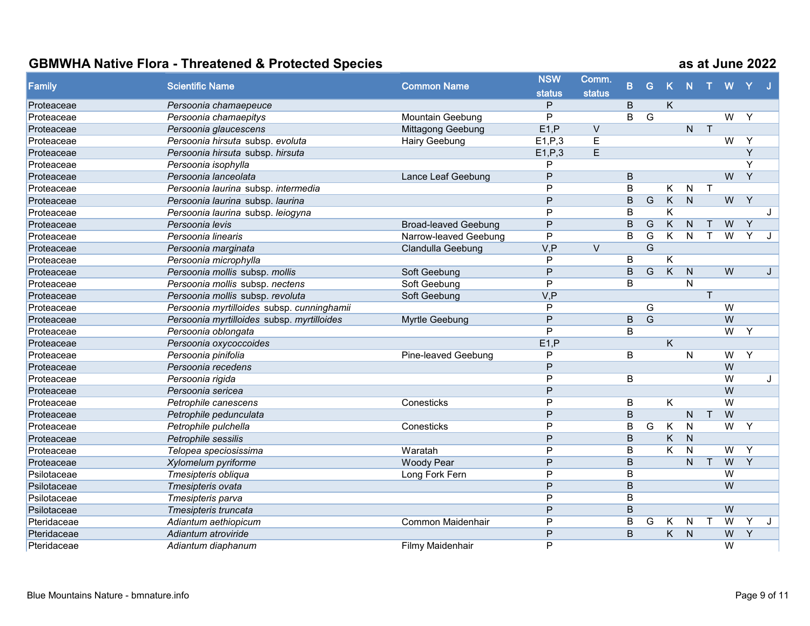| <b>Family</b> | <b>Scientific Name</b><br><b>Common Name</b> | <b>NSW</b>                  | Comm.          |                   |                |                |                         |                         |                         |                |                |         |
|---------------|----------------------------------------------|-----------------------------|----------------|-------------------|----------------|----------------|-------------------------|-------------------------|-------------------------|----------------|----------------|---------|
|               |                                              |                             | <b>status</b>  | <b>status</b>     | B              | G              | $\mathsf{K}$            | N                       |                         | W              |                |         |
| Proteaceae    | Persoonia chamaepeuce                        |                             | P              |                   | B              |                | K.                      |                         |                         |                |                |         |
| Proteaceae    | Persoonia chamaepitys                        | Mountain Geebung            | P              |                   | B              | G              |                         |                         |                         | W              | Y              |         |
| Proteaceae    | Persoonia glaucescens                        | Mittagong Geebung           | E1.P           | $\vee$            |                |                |                         | $\mathsf{N}$            | $\overline{\mathsf{T}}$ |                |                |         |
| Proteaceae    | Persoonia hirsuta subsp. evoluta             | Hairy Geebung               | E1, P, 3       | E                 |                |                |                         |                         |                         | $\overline{W}$ | Y              |         |
| Proteaceae    | Persoonia hirsuta subsp. hirsuta             |                             | E1, P, 3       | E                 |                |                |                         |                         |                         |                | Y              |         |
| Proteaceae    | Persoonia isophylla                          |                             | P              |                   |                |                |                         |                         |                         |                | Y              |         |
| Proteaceae    | Persoonia lanceolata                         | Lance Leaf Geebung          | P              |                   | B              |                |                         |                         |                         | W              | $\overline{Y}$ |         |
| Proteaceae    | Persoonia laurina subsp. intermedia          |                             | P              |                   | B              |                | K.                      | $\mathsf{N}$            | $\mathsf{T}$            |                |                |         |
| Proteaceae    | Persoonia laurina subsp. laurina             |                             | P              |                   | B              | ${\mathsf G}$  | $\overline{\mathsf{K}}$ | $\overline{N}$          |                         | $\overline{W}$ | Y              |         |
| Proteaceae    | Persoonia laurina subsp. leiogyna            |                             | P              |                   | B              |                | K                       |                         |                         |                |                | J       |
| Proteaceae    | Persoonia levis                              | <b>Broad-leaved Geebung</b> | P              |                   | B              | G              | K                       | $\overline{N}$          | $\mathsf{T}$            | W              | $\overline{Y}$ |         |
| Proteaceae    | Persoonia linearis                           | Narrow-leaved Geebung       | P              |                   | B              | $\overline{G}$ | K.                      | $\overline{N}$          | $\mathsf{T}$            | $\overline{W}$ | Y              | $\cdot$ |
| Proteaceae    | Persoonia marginata                          | Clandulla Geebung           | V, P           | $\overline{\vee}$ |                | $\overline{G}$ |                         |                         |                         |                |                |         |
| Proteaceae    | Persoonia microphylla                        |                             | P              |                   | B              |                | K                       |                         |                         |                |                |         |
| Proteaceae    | Persoonia mollis subsp. mollis               | Soft Geebung                | P              |                   | B              | G              | K                       | $\overline{N}$          |                         | W              |                | J       |
| Proteaceae    | Persoonia mollis subsp. nectens              | Soft Geebung                | $\overline{P}$ |                   | B              |                |                         | $\overline{\mathsf{N}}$ |                         |                |                |         |
| Proteaceae    | Persoonia mollis subsp. revoluta             | Soft Geebung                | V, P           |                   |                |                |                         |                         | T                       |                |                |         |
| Proteaceae    | Persoonia myrtilloides subsp. cunninghamii   |                             | P              |                   |                | G              |                         |                         |                         | W              |                |         |
| Proteaceae    | Persoonia myrtilloides subsp. myrtilloides   | Myrtle Geebung              | P              |                   | B.             | G              |                         |                         |                         | W              |                |         |
| Proteaceae    | Persoonia oblongata                          |                             | P              |                   | B              |                |                         |                         |                         | $\overline{W}$ | Y              |         |
| Proteaceae    | Persoonia oxycoccoides                       |                             | E1, P          |                   |                |                | K                       |                         |                         |                |                |         |
| Proteaceae    | Persoonia pinifolia                          | Pine-leaved Geebung         | P              |                   | B              |                |                         | N                       |                         | W              | Y              |         |
| Proteaceae    | Persoonia recedens                           |                             | P              |                   |                |                |                         |                         |                         | W              |                |         |
| Proteaceae    | Persoonia rigida                             |                             | P              |                   | B              |                |                         |                         |                         | W              |                | J       |
| Proteaceae    | Persoonia sericea                            |                             | P              |                   |                |                |                         |                         |                         | W              |                |         |
| Proteaceae    | Petrophile canescens                         | Conesticks                  | P              |                   | B              |                | K                       |                         |                         | $\overline{W}$ |                |         |
| Proteaceae    | Petrophile pedunculata                       |                             | P              |                   | $\overline{B}$ |                |                         | N                       | $\top$                  | W              |                |         |
| Proteaceae    | Petrophile pulchella                         | Conesticks                  | P              |                   | B              | G              | $\overline{\mathsf{K}}$ | N                       |                         | $\overline{W}$ | $\mathsf{Y}$   |         |
| Proteaceae    | Petrophile sessilis                          |                             | P              |                   | B              |                | Κ                       | $\mathsf{N}$            |                         |                |                |         |
| Proteaceae    | Telopea speciosissima                        | Waratah                     | P              |                   | B              |                | $\overline{\mathsf{K}}$ | N                       |                         | W              | Y              |         |
| Proteaceae    | Xylomelum pyriforme                          | <b>Woody Pear</b>           | P              |                   | $\overline{B}$ |                |                         | $\overline{N}$          | T                       | W              | $\overline{Y}$ |         |
| Psilotaceae   | Tmesipteris obliqua                          | Long Fork Fern              | P              |                   | B              |                |                         |                         |                         | W              |                |         |
| Psilotaceae   | Tmesipteris ovata                            |                             | P              |                   | B              |                |                         |                         |                         | W              |                |         |
| Psilotaceae   | Tmesipteris parva                            |                             | P              |                   | B              |                |                         |                         |                         |                |                |         |
| Psilotaceae   | Tmesipteris truncata                         |                             | P              |                   | B              |                |                         |                         |                         | W              |                |         |
| Pteridaceae   | Adiantum aethiopicum                         | Common Maidenhair           | P              |                   | B              | G              | Κ                       | $\mathsf{N}$            | $\top$                  | $\overline{W}$ | Y              | J       |
| Pteridaceae   | Adiantum atroviride                          |                             | P              |                   | B              |                | K.                      | N                       |                         | W              | Y              |         |
| Pteridaceae   | Adiantum diaphanum                           | Filmy Maidenhair            | P              |                   |                |                |                         |                         |                         | W              |                |         |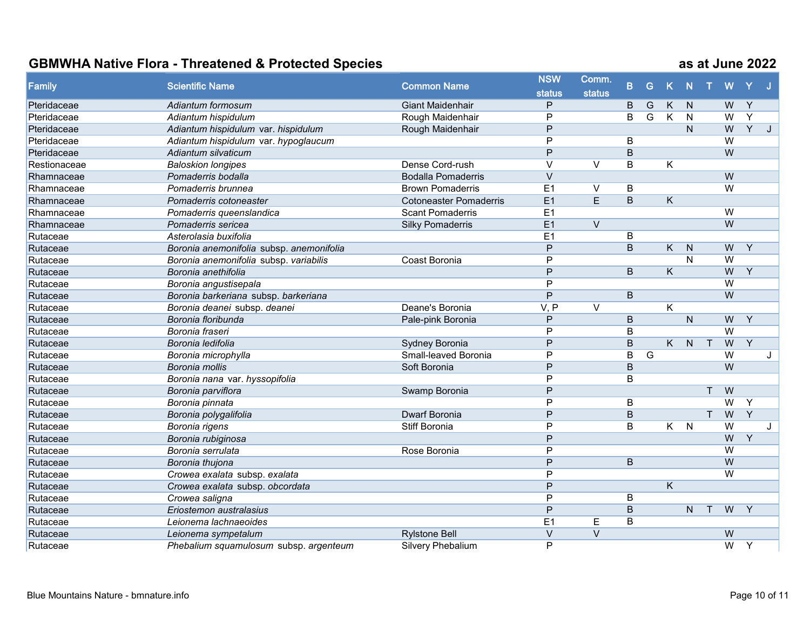| Family       | <b>Scientific Name</b>                   | <b>Common Name</b>            | <b>NSW</b>     | Comm.             | B.             | G              |                         | N              |              | W              |                |              |
|--------------|------------------------------------------|-------------------------------|----------------|-------------------|----------------|----------------|-------------------------|----------------|--------------|----------------|----------------|--------------|
|              |                                          |                               | <b>status</b>  | <b>status</b>     |                |                | $\mathsf K$             |                |              |                |                |              |
| Pteridaceae  | Adiantum formosum                        | <b>Giant Maidenhair</b>       | P              |                   | B              | G              | K                       | N              |              | W              | $\overline{Y}$ |              |
| Pteridaceae  | Adiantum hispidulum                      | Rough Maidenhair              | P              |                   | B              | G              | K                       | $\mathsf{N}$   |              | W              | $\overline{Y}$ |              |
| Pteridaceae  | Adiantum hispidulum var. hispidulum      | Rough Maidenhair              | P              |                   |                |                |                         | $\mathsf{N}$   |              | W              | $\overline{Y}$ | J            |
| Pteridaceae  | Adiantum hispidulum var. hypoglaucum     |                               | P              |                   | B              |                |                         |                |              | $\overline{W}$ |                |              |
| Pteridaceae  | Adiantum silvaticum                      |                               | $\overline{P}$ |                   | $\overline{B}$ |                |                         |                |              | W              |                |              |
| Restionaceae | <b>Baloskion longipes</b>                | Dense Cord-rush               | $\vee$         | $\vee$            | B              |                | K                       |                |              |                |                |              |
| Rhamnaceae   | Pomaderris bodalla                       | <b>Bodalla Pomaderris</b>     | $\vee$         |                   |                |                |                         |                |              | W              |                |              |
| Rhamnaceae   | Pomaderris brunnea                       | <b>Brown Pomaderris</b>       | E1             | $\vee$            | B              |                |                         |                |              | $\overline{W}$ |                |              |
| Rhamnaceae   | Pomaderris cotoneaster                   | <b>Cotoneaster Pomaderris</b> | E1             | $\overline{E}$    | B              |                | K                       |                |              |                |                |              |
| Rhamnaceae   | Pomaderris queenslandica                 | <b>Scant Pomaderris</b>       | E1             |                   |                |                |                         |                |              | $\overline{W}$ |                |              |
| Rhamnaceae   | Pomaderris sericea                       | <b>Silky Pomaderris</b>       | E1             | $\vee$            |                |                |                         |                |              | W              |                |              |
| Rutaceae     | Asterolasia buxifolia                    |                               | E1             |                   | B              |                |                         |                |              |                |                |              |
| Rutaceae     | Boronia anemonifolia subsp. anemonifolia |                               | P              |                   | B              |                | K.                      | N              |              | W              | Y              |              |
| Rutaceae     | Boronia anemonifolia subsp. variabilis   | Coast Boronia                 | P              |                   |                |                |                         | $\mathsf{N}$   |              | W              |                |              |
| Rutaceae     | Boronia anethifolia                      |                               | $\overline{P}$ |                   | $\overline{B}$ |                | $\overline{\mathsf{K}}$ |                |              | W              | $\overline{Y}$ |              |
| Rutaceae     | Boronia angustisepala                    |                               | $\overline{P}$ |                   |                |                |                         |                |              | $\overline{W}$ |                |              |
| Rutaceae     | Boronia barkeriana subsp. barkeriana     |                               | P              |                   | B              |                |                         |                |              | $\overline{W}$ |                |              |
| Rutaceae     | Boronia deanei subsp. deanei             | Deane's Boronia               | V, P           | $\overline{\vee}$ |                |                | K                       |                |              |                |                |              |
| Rutaceae     | Boronia floribunda                       | Pale-pink Boronia             | P              |                   | B              |                |                         | N              |              | W              | Y              |              |
| Rutaceae     | Boronia fraseri                          |                               | Þ              |                   | B              |                |                         |                |              | $\overline{W}$ |                |              |
| Rutaceae     | Boronia ledifolia                        | Sydney Boronia                | P              |                   | B              |                | K                       | $\overline{N}$ | $\top$       | W              | $\overline{Y}$ |              |
| Rutaceae     | Boronia microphylla                      | Small-leaved Boronia          | P              |                   | B              | $\overline{G}$ |                         |                |              | $\overline{W}$ |                | J            |
| Rutaceae     | Boronia mollis                           | Soft Boronia                  | P              |                   | $\overline{B}$ |                |                         |                |              | W              |                |              |
| Rutaceae     | Boronia nana var. hyssopifolia           |                               | P              |                   | B              |                |                         |                |              |                |                |              |
| Rutaceae     | Boronia parviflora                       | Swamp Boronia                 | P              |                   |                |                |                         |                | $\mathsf{T}$ | W              |                |              |
| Rutaceae     | Boronia pinnata                          |                               | P              |                   | B              |                |                         |                |              | $\overline{W}$ | Y              |              |
| Rutaceae     | Boronia polygalifolia                    | <b>Dwarf Boronia</b>          | P              |                   | B              |                |                         |                | T            | W              | $\overline{Y}$ |              |
| Rutaceae     | Boronia rigens                           | Stiff Boronia                 | P              |                   | B              |                | $K$ $N$                 |                |              | $\overline{W}$ |                | $\mathbf{J}$ |
| Rutaceae     | Boronia rubiginosa                       |                               | P              |                   |                |                |                         |                |              | W              | Y              |              |
| Rutaceae     | Boronia serrulata                        | Rose Boronia                  | P              |                   |                |                |                         |                |              | W              |                |              |
| Rutaceae     | Boronia thujona                          |                               | P              |                   | B              |                |                         |                |              | $\overline{W}$ |                |              |
| Rutaceae     | Crowea exalata subsp. exalata            |                               | $\overline{P}$ |                   |                |                |                         |                |              | $\overline{W}$ |                |              |
| Rutaceae     | Crowea exalata subsp. obcordata          |                               | P              |                   |                |                | K                       |                |              |                |                |              |
| Rutaceae     | Crowea saligna                           |                               | P              |                   | B              |                |                         |                |              |                |                |              |
| Rutaceae     | Eriostemon australasius                  |                               | P              |                   | $\overline{B}$ |                |                         | N.             | $\top$       | W              | Y              |              |
| Rutaceae     | Leionema lachnaeoides                    |                               | E1             | $\mathsf E$       | B              |                |                         |                |              |                |                |              |
| Rutaceae     | Leionema sympetalum                      | <b>Rylstone Bell</b>          | $\vee$         | $\overline{\vee}$ |                |                |                         |                |              | W              |                |              |
| Rutaceae     | Phebalium squamulosum subsp. argenteum   | <b>Silvery Phebalium</b>      | P              |                   |                |                |                         |                |              | $\overline{W}$ | Y              |              |